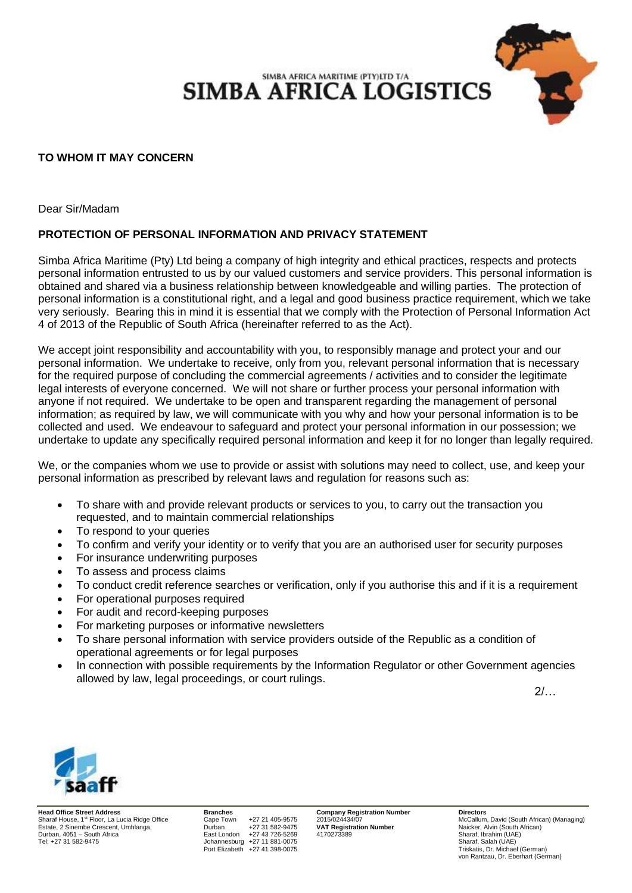SIMBA AFRICA MARITIME (PTY)LTD T/A **SIMBA AFRICA LOGISTICS** 

## **TO WHOM IT MAY CONCERN**

Dear Sir/Madam

## **PROTECTION OF PERSONAL INFORMATION AND PRIVACY STATEMENT**

Simba Africa Maritime (Pty) Ltd being a company of high integrity and ethical practices, respects and protects personal information entrusted to us by our valued customers and service providers. This personal information is obtained and shared via a business relationship between knowledgeable and willing parties. The protection of personal information is a constitutional right, and a legal and good business practice requirement, which we take very seriously. Bearing this in mind it is essential that we comply with the Protection of Personal Information Act 4 of 2013 of the Republic of South Africa (hereinafter referred to as the Act).

We accept joint responsibility and accountability with you, to responsibly manage and protect your and our personal information. We undertake to receive, only from you, relevant personal information that is necessary for the required purpose of concluding the commercial agreements / activities and to consider the legitimate legal interests of everyone concerned. We will not share or further process your personal information with anyone if not required. We undertake to be open and transparent regarding the management of personal information; as required by law, we will communicate with you why and how your personal information is to be collected and used. We endeavour to safeguard and protect your personal information in our possession; we undertake to update any specifically required personal information and keep it for no longer than legally required.

We, or the companies whom we use to provide or assist with solutions may need to collect, use, and keep your personal information as prescribed by relevant laws and regulation for reasons such as:

- To share with and provide relevant products or services to you, to carry out the transaction you requested, and to maintain commercial relationships
- To respond to your queries
- To confirm and verify your identity or to verify that you are an authorised user for security purposes
- For insurance underwriting purposes
- To assess and process claims
- To conduct credit reference searches or verification, only if you authorise this and if it is a requirement
- For operational purposes required
- For audit and record-keeping purposes
- For marketing purposes or informative newsletters
- To share personal information with service providers outside of the Republic as a condition of operational agreements or for legal purposes
- In connection with possible requirements by the Information Regulator or other Government agencies allowed by law, legal proceedings, or court rulings.

2/…



**Head Office Street Address**<br> **Branches Cape Town** +27 21 405-9575 **2015/024434/07 Number Directors Directors Branches Cape Town** +27 21 405-9575 2015/024434/07 **McCallum, David (South African)** (Managing) Sharaf House, 1st Floor, La Lucia Ridge Office Cape Town +27 21 405-9575 2015/024434/07<br>
Sharaf House, 1st Floor, La Lucia Ridge Office Cape Town +27 21 405-9575 2015/024434/07 McCallum, David (South African)<br>
Extate, 2 Si Estate, 2 Sinembe Crescent, Umhlanga, **Durban +27 31 582-9475**<br>
Durban +27 31 582-9475<br>
Durban +27 43 726-5269 Durban, 4051 – South Africa East London +27 43 726-5269 4170273389 Sharaf, Ibrahim (UAE)

Johannesburg +27 11 881-0075 Port Elizabeth +27 41 398-0075 Triskatis, Dr. Michael (German)